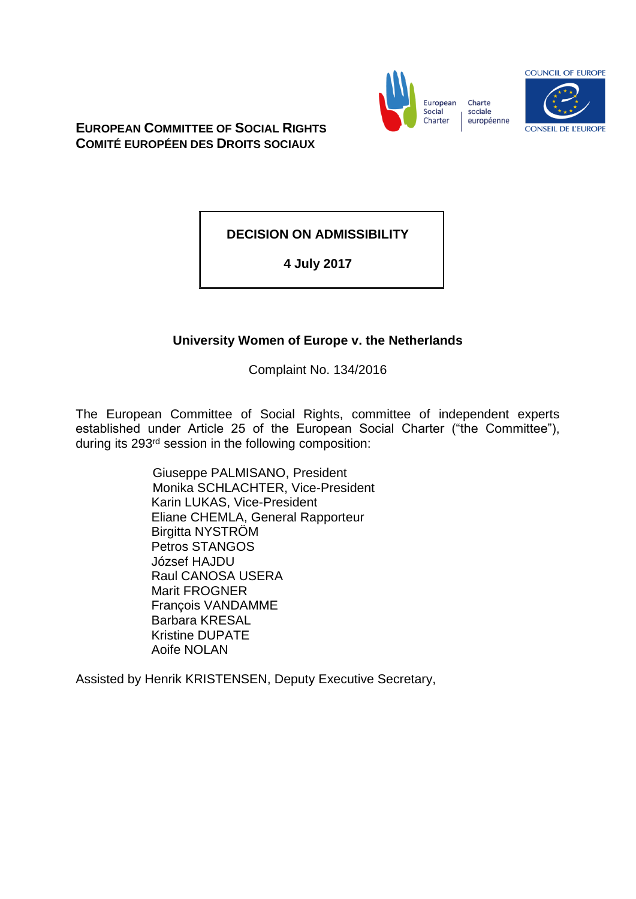

Charte sociale européenne **COUNCIL OF EUROPE CONSEIL DE L'EUROPE** 

**EUROPEAN COMMITTEE OF SOCIAL RIGHTS COMITÉ EUROPÉEN DES DROITS SOCIAUX**

**DECISION ON ADMISSIBILITY**

**4 July 2017**

# **University Women of Europe v. the Netherlands**

Complaint No. 134/2016

The European Committee of Social Rights, committee of independent experts established under Article 25 of the European Social Charter ("the Committee"), during its 293rd session in the following composition:

> Giuseppe PALMISANO, President Monika SCHLACHTER, Vice-President Karin LUKAS, Vice-President Eliane CHEMLA, General Rapporteur Birgitta NYSTRÖM Petros STANGOS József HAJDU Raul CANOSA USERA Marit FROGNER François VANDAMME Barbara KRESAL Kristine DUPATE Aoife NOLAN

Assisted by Henrik KRISTENSEN, Deputy Executive Secretary,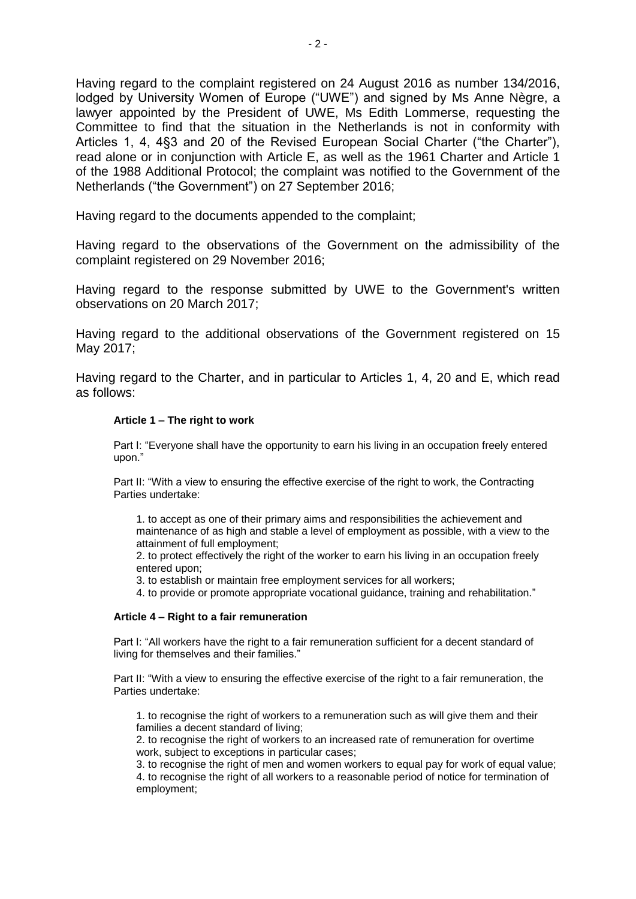Having regard to the complaint registered on 24 August 2016 as number 134/2016, lodged by University Women of Europe ("UWE") and signed by Ms Anne Nègre, a lawyer appointed by the President of UWE, Ms Edith Lommerse, requesting the Committee to find that the situation in the Netherlands is not in conformity with Articles 1, 4, 4§3 and 20 of the Revised European Social Charter ("the Charter"), read alone or in conjunction with Article E, as well as the 1961 Charter and Article 1 of the 1988 Additional Protocol; the complaint was notified to the Government of the Netherlands ("the Government") on 27 September 2016;

Having regard to the documents appended to the complaint;

Having regard to the observations of the Government on the admissibility of the complaint registered on 29 November 2016;

Having regard to the response submitted by UWE to the Government's written observations on 20 March 2017;

Having regard to the additional observations of the Government registered on 15 May 2017;

Having regard to the Charter, and in particular to Articles 1, 4, 20 and E, which read as follows:

#### **Article 1 – The right to work**

Part I: "Everyone shall have the opportunity to earn his living in an occupation freely entered upon."

Part II: "With a view to ensuring the effective exercise of the right to work, the Contracting Parties undertake:

1. to accept as one of their primary aims and responsibilities the achievement and maintenance of as high and stable a level of employment as possible, with a view to the attainment of full employment;

2. to protect effectively the right of the worker to earn his living in an occupation freely entered upon;

- 3. to establish or maintain free employment services for all workers;
- 4. to provide or promote appropriate vocational guidance, training and rehabilitation."

#### **Article 4 – Right to a fair remuneration**

Part I: "All workers have the right to a fair remuneration sufficient for a decent standard of living for themselves and their families."

Part II: "With a view to ensuring the effective exercise of the right to a fair remuneration, the Parties undertake:

1. to recognise the right of workers to a remuneration such as will give them and their families a decent standard of living;

2. to recognise the right of workers to an increased rate of remuneration for overtime work, subject to exceptions in particular cases;

3. to recognise the right of men and women workers to equal pay for work of equal value;

4. to recognise the right of all workers to a reasonable period of notice for termination of employment;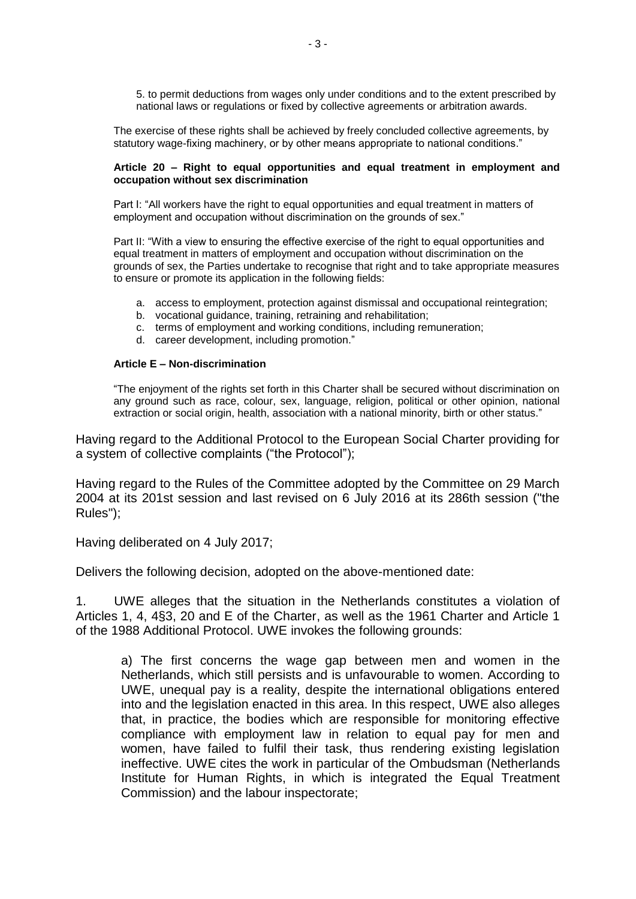5. to permit deductions from wages only under conditions and to the extent prescribed by national laws or regulations or fixed by collective agreements or arbitration awards.

The exercise of these rights shall be achieved by freely concluded collective agreements, by statutory wage-fixing machinery, or by other means appropriate to national conditions."

#### **Article 20 – Right to equal opportunities and equal treatment in employment and occupation without sex discrimination**

Part I: "All workers have the right to equal opportunities and equal treatment in matters of employment and occupation without discrimination on the grounds of sex."

Part II: "With a view to ensuring the effective exercise of the right to equal opportunities and equal treatment in matters of employment and occupation without discrimination on the grounds of sex, the Parties undertake to recognise that right and to take appropriate measures to ensure or promote its application in the following fields:

- a. access to employment, protection against dismissal and occupational reintegration;
- b. vocational guidance, training, retraining and rehabilitation;
- c. terms of employment and working conditions, including remuneration;
- d. career development, including promotion."

#### **Article E – Non-discrimination**

"The enjoyment of the rights set forth in this Charter shall be secured without discrimination on any ground such as race, colour, sex, language, religion, political or other opinion, national extraction or social origin, health, association with a national minority, birth or other status."

Having regard to the Additional Protocol to the European Social Charter providing for a system of collective complaints ("the Protocol");

Having regard to the Rules of the Committee adopted by the Committee on 29 March 2004 at its 201st session and last revised on 6 July 2016 at its 286th session ("the Rules");

Having deliberated on 4 July 2017;

Delivers the following decision, adopted on the above-mentioned date:

1. UWE alleges that the situation in the Netherlands constitutes a violation of Articles 1, 4, 4§3, 20 and E of the Charter, as well as the 1961 Charter and Article 1 of the 1988 Additional Protocol. UWE invokes the following grounds:

a) The first concerns the wage gap between men and women in the Netherlands, which still persists and is unfavourable to women. According to UWE, unequal pay is a reality, despite the international obligations entered into and the legislation enacted in this area. In this respect, UWE also alleges that, in practice, the bodies which are responsible for monitoring effective compliance with employment law in relation to equal pay for men and women, have failed to fulfil their task, thus rendering existing legislation ineffective. UWE cites the work in particular of the Ombudsman (Netherlands Institute for Human Rights, in which is integrated the Equal Treatment Commission) and the labour inspectorate;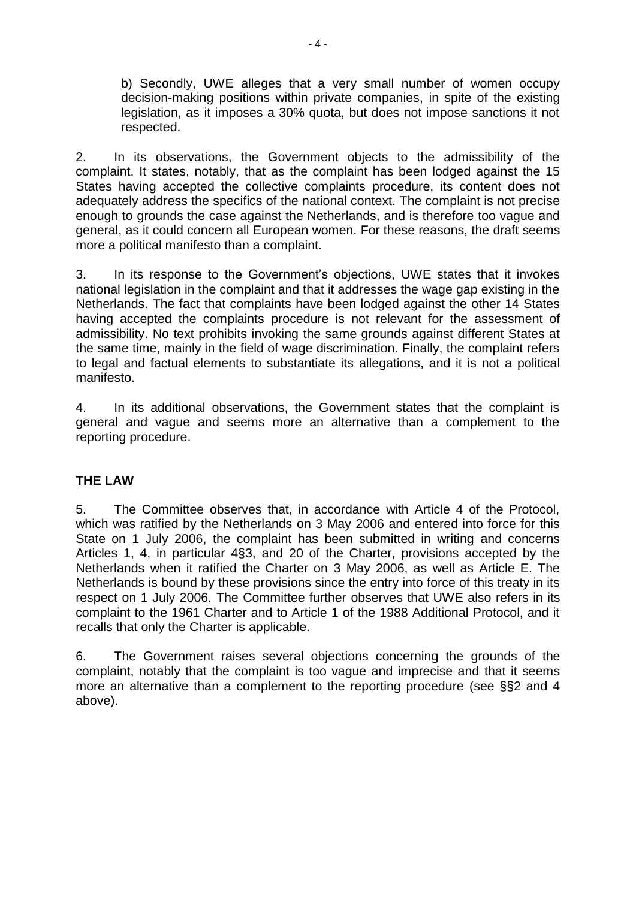b) Secondly, UWE alleges that a very small number of women occupy decision-making positions within private companies, in spite of the existing legislation, as it imposes a 30% quota, but does not impose sanctions it not respected.

2. In its observations, the Government objects to the admissibility of the complaint. It states, notably, that as the complaint has been lodged against the 15 States having accepted the collective complaints procedure, its content does not adequately address the specifics of the national context. The complaint is not precise enough to grounds the case against the Netherlands, and is therefore too vague and general, as it could concern all European women. For these reasons, the draft seems more a political manifesto than a complaint.

3. In its response to the Government's objections, UWE states that it invokes national legislation in the complaint and that it addresses the wage gap existing in the Netherlands. The fact that complaints have been lodged against the other 14 States having accepted the complaints procedure is not relevant for the assessment of admissibility. No text prohibits invoking the same grounds against different States at the same time, mainly in the field of wage discrimination. Finally, the complaint refers to legal and factual elements to substantiate its allegations, and it is not a political manifesto.

4. In its additional observations, the Government states that the complaint is general and vague and seems more an alternative than a complement to the reporting procedure.

## **THE LAW**

5. The Committee observes that, in accordance with Article 4 of the Protocol, which was ratified by the Netherlands on 3 May 2006 and entered into force for this State on 1 July 2006, the complaint has been submitted in writing and concerns Articles 1, 4, in particular 4§3, and 20 of the Charter, provisions accepted by the Netherlands when it ratified the Charter on 3 May 2006, as well as Article E. The Netherlands is bound by these provisions since the entry into force of this treaty in its respect on 1 July 2006. The Committee further observes that UWE also refers in its complaint to the 1961 Charter and to Article 1 of the 1988 Additional Protocol, and it recalls that only the Charter is applicable.

6. The Government raises several objections concerning the grounds of the complaint, notably that the complaint is too vague and imprecise and that it seems more an alternative than a complement to the reporting procedure (see §§2 and 4 above).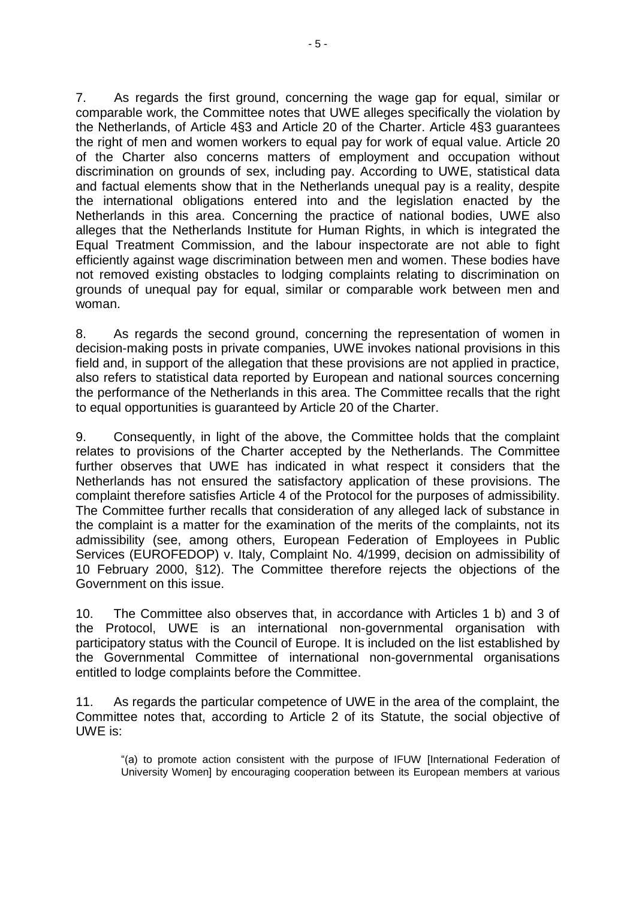7. As regards the first ground, concerning the wage gap for equal, similar or comparable work, the Committee notes that UWE alleges specifically the violation by the Netherlands, of Article 4§3 and Article 20 of the Charter. Article 4§3 guarantees the right of men and women workers to equal pay for work of equal value. Article 20 of the Charter also concerns matters of employment and occupation without discrimination on grounds of sex, including pay. According to UWE, statistical data and factual elements show that in the Netherlands unequal pay is a reality, despite the international obligations entered into and the legislation enacted by the Netherlands in this area. Concerning the practice of national bodies, UWE also alleges that the Netherlands Institute for Human Rights, in which is integrated the Equal Treatment Commission, and the labour inspectorate are not able to fight efficiently against wage discrimination between men and women. These bodies have not removed existing obstacles to lodging complaints relating to discrimination on grounds of unequal pay for equal, similar or comparable work between men and woman.

8. As regards the second ground, concerning the representation of women in decision-making posts in private companies, UWE invokes national provisions in this field and, in support of the allegation that these provisions are not applied in practice, also refers to statistical data reported by European and national sources concerning the performance of the Netherlands in this area. The Committee recalls that the right to equal opportunities is guaranteed by Article 20 of the Charter.

9. Consequently, in light of the above, the Committee holds that the complaint relates to provisions of the Charter accepted by the Netherlands. The Committee further observes that UWE has indicated in what respect it considers that the Netherlands has not ensured the satisfactory application of these provisions. The complaint therefore satisfies Article 4 of the Protocol for the purposes of admissibility. The Committee further recalls that consideration of any alleged lack of substance in the complaint is a matter for the examination of the merits of the complaints, not its admissibility (see, among others, European Federation of Employees in Public Services (EUROFEDOP) v. Italy, Complaint No. 4/1999, decision on admissibility of 10 February 2000, §12). The Committee therefore rejects the objections of the Government on this issue.

10. The Committee also observes that, in accordance with Articles 1 b) and 3 of the Protocol, UWE is an international non-governmental organisation with participatory status with the Council of Europe. It is included on the list established by the Governmental Committee of international non-governmental organisations entitled to lodge complaints before the Committee.

11. As regards the particular competence of UWE in the area of the complaint, the Committee notes that, according to Article 2 of its Statute, the social objective of UWE is:

"(a) to promote action consistent with the purpose of IFUW [International Federation of University Women] by encouraging cooperation between its European members at various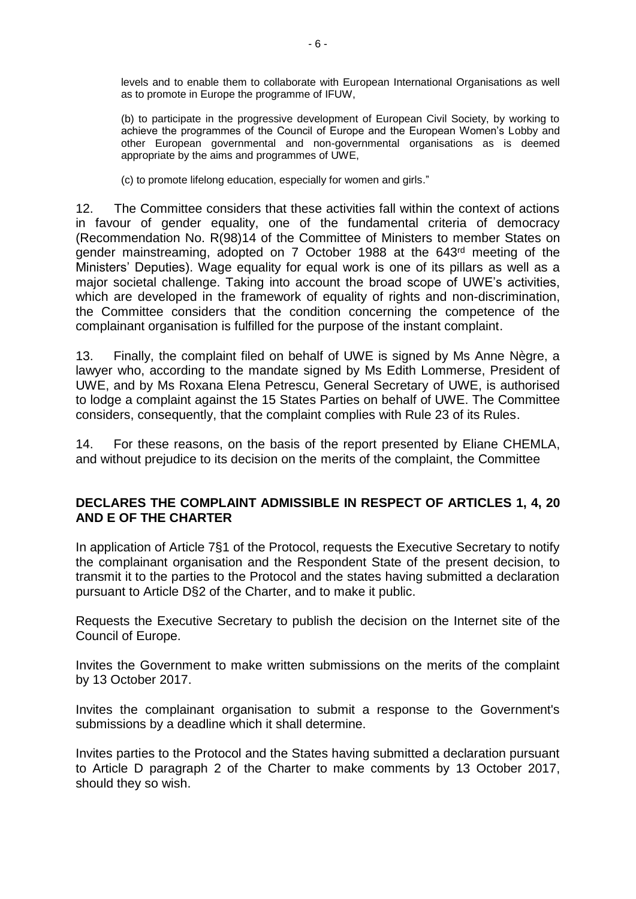levels and to enable them to collaborate with European International Organisations as well as to promote in Europe the programme of IFUW,

(b) to participate in the progressive development of European Civil Society, by working to achieve the programmes of the Council of Europe and the European Women's Lobby and other European governmental and non-governmental organisations as is deemed appropriate by the aims and programmes of UWE,

(c) to promote lifelong education, especially for women and girls."

12. The Committee considers that these activities fall within the context of actions in favour of gender equality, one of the fundamental criteria of democracy (Recommendation No. R(98)14 of the Committee of Ministers to member States on gender mainstreaming, adopted on 7 October 1988 at the 643rd meeting of the Ministers' Deputies). Wage equality for equal work is one of its pillars as well as a major societal challenge. Taking into account the broad scope of UWE's activities, which are developed in the framework of equality of rights and non-discrimination, the Committee considers that the condition concerning the competence of the complainant organisation is fulfilled for the purpose of the instant complaint.

13. Finally, the complaint filed on behalf of UWE is signed by Ms Anne Nègre, a lawyer who, according to the mandate signed by Ms Edith Lommerse, President of UWE, and by Ms Roxana Elena Petrescu, General Secretary of UWE, is authorised to lodge a complaint against the 15 States Parties on behalf of UWE. The Committee considers, consequently, that the complaint complies with Rule 23 of its Rules.

14. For these reasons, on the basis of the report presented by Eliane CHEMLA, and without prejudice to its decision on the merits of the complaint, the Committee

### **DECLARES THE COMPLAINT ADMISSIBLE IN RESPECT OF ARTICLES 1, 4, 20 AND E OF THE CHARTER**

In application of Article 7§1 of the Protocol, requests the Executive Secretary to notify the complainant organisation and the Respondent State of the present decision, to transmit it to the parties to the Protocol and the states having submitted a declaration pursuant to Article D§2 of the Charter, and to make it public.

Requests the Executive Secretary to publish the decision on the Internet site of the Council of Europe.

Invites the Government to make written submissions on the merits of the complaint by 13 October 2017.

Invites the complainant organisation to submit a response to the Government's submissions by a deadline which it shall determine.

Invites parties to the Protocol and the States having submitted a declaration pursuant to Article D paragraph 2 of the Charter to make comments by 13 October 2017, should they so wish.